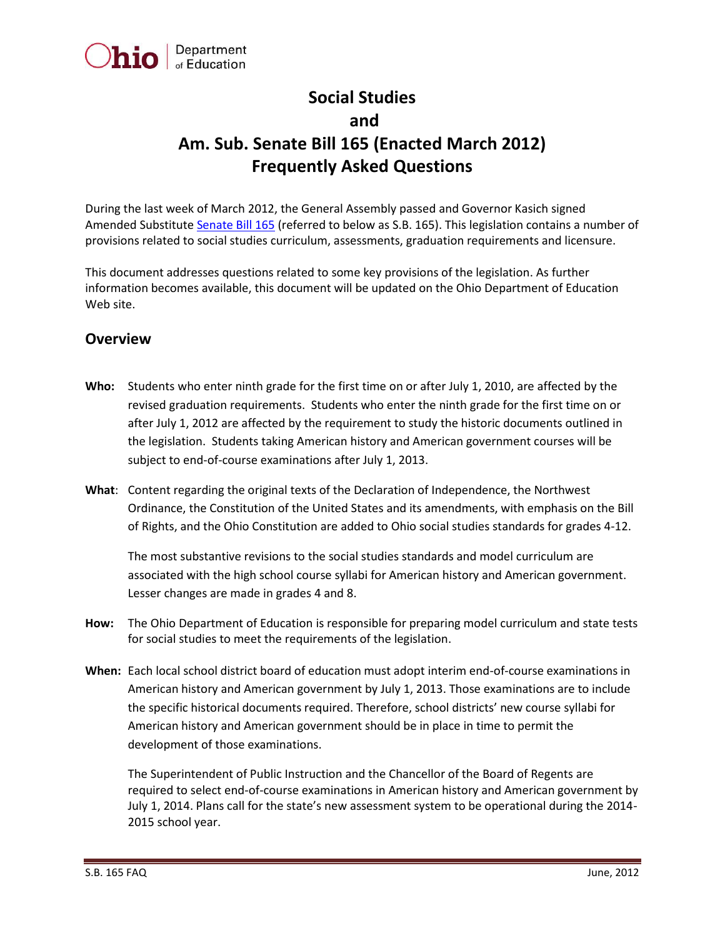

# **Social Studies and Am. Sub. Senate Bill 165 (Enacted March 2012) Frequently Asked Questions**

During the last week of March 2012, the General Assembly passed and Governor Kasich signed Amended Substitute [Senate Bill 165](http://www.legislature.state.oh.us/bills.cfm?ID=129_SB_165) (referred to below as S.B. 165). This legislation contains a number of provisions related to social studies curriculum, assessments, graduation requirements and licensure.

This document addresses questions related to some key provisions of the legislation. As further information becomes available, this document will be updated on the Ohio Department of Education Web site.

## **Overview**

- **Who:** Students who enter ninth grade for the first time on or after July 1, 2010, are affected by the revised graduation requirements. Students who enter the ninth grade for the first time on or after July 1, 2012 are affected by the requirement to study the historic documents outlined in the legislation. Students taking American history and American government courses will be subject to end-of-course examinations after July 1, 2013.
- **What**: Content regarding the original texts of the Declaration of Independence, the Northwest Ordinance, the Constitution of the United States and its amendments, with emphasis on the Bill of Rights, and the Ohio Constitution are added to Ohio social studies standards for grades 4-12.

The most substantive revisions to the social studies standards and model curriculum are associated with the high school course syllabi for American history and American government. Lesser changes are made in grades 4 and 8.

- **How:** The Ohio Department of Education is responsible for preparing model curriculum and state tests for social studies to meet the requirements of the legislation.
- **When:** Each local school district board of education must adopt interim end-of-course examinations in American history and American government by July 1, 2013. Those examinations are to include the specific historical documents required. Therefore, school districts' new course syllabi for American history and American government should be in place in time to permit the development of those examinations.

The Superintendent of Public Instruction and the Chancellor of the Board of Regents are required to select end-of-course examinations in American history and American government by July 1, 2014. Plans call for the state's new assessment system to be operational during the 2014- 2015 school year.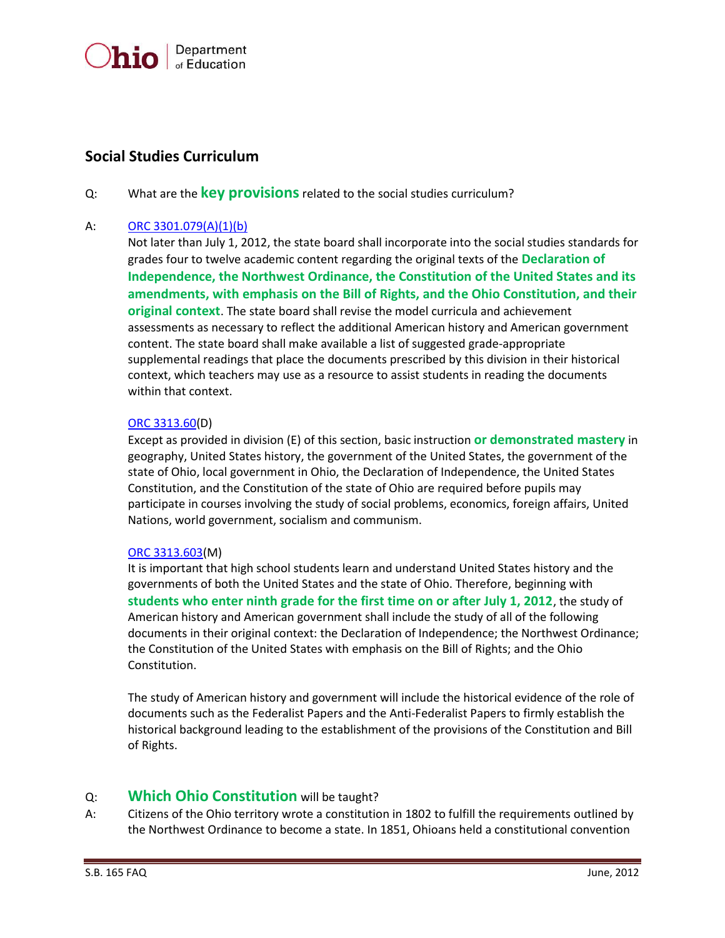

# **Social Studies Curriculum**

Q: What are the **key provisions**related to the social studies curriculum?

#### A: [ORC 3301.079\(A\)\(1\)\(b\)](http://codes.ohio.gov/orc/3301.079)

Not later than July 1, 2012, the state board shall incorporate into the social studies standards for grades four to twelve academic content regarding the original texts of the **Declaration of Independence, the Northwest Ordinance, the Constitution of the United States and its amendments, with emphasis on the Bill of Rights, and the Ohio Constitution, and their original context**. The state board shall revise the model curricula and achievement assessments as necessary to reflect the additional American history and American government content. The state board shall make available a list of suggested grade-appropriate supplemental readings that place the documents prescribed by this division in their historical context, which teachers may use as a resource to assist students in reading the documents within that context.

#### [ORC 3313.60\(](file:///C:/Users/donna.kagy/AppData/Local/Microsoft/Windows/Temporary%20Internet%20Files/Content.Outlook/40R84WYC/ORC%203313.60)D)

Except as provided in division (E) of this section, basic instruction **or demonstrated mastery** in geography, United States history, the government of the United States, the government of the state of Ohio, local government in Ohio, the Declaration of Independence, the United States Constitution, and the Constitution of the state of Ohio are required before pupils may participate in courses involving the study of social problems, economics, foreign affairs, United Nations, world government, socialism and communism.

#### [ORC 3313.603\(](http://codes.ohio.gov/orc/3313.603)M)

It is important that high school students learn and understand United States history and the governments of both the United States and the state of Ohio. Therefore, beginning with **students who enter ninth grade for the first time on or after July 1, 2012**, the study of American history and American government shall include the study of all of the following documents in their original context: the Declaration of Independence; the Northwest Ordinance; the Constitution of the United States with emphasis on the Bill of Rights; and the Ohio Constitution.

The study of American history and government will include the historical evidence of the role of documents such as the Federalist Papers and the Anti-Federalist Papers to firmly establish the historical background leading to the establishment of the provisions of the Constitution and Bill of Rights.

#### Q: **Which Ohio Constitution** will be taught?

A: Citizens of the Ohio territory wrote a constitution in 1802 to fulfill the requirements outlined by the Northwest Ordinance to become a state. In 1851, Ohioans held a constitutional convention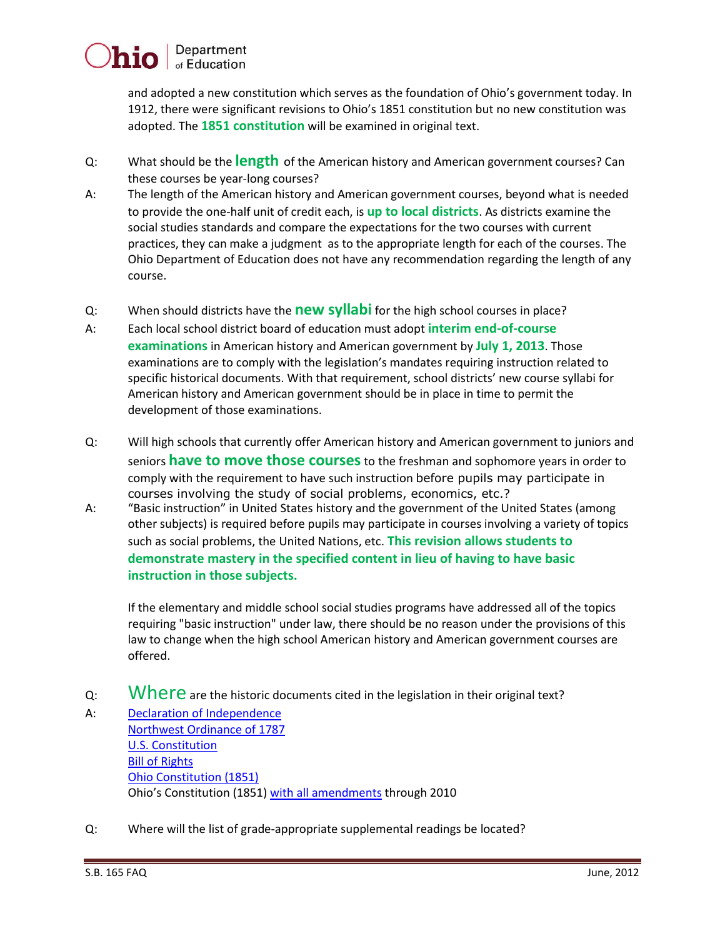# Department of Education

and adopted a new constitution which serves as the foundation of Ohio's government today. In 1912, there were significant revisions to Ohio's 1851 constitution but no new constitution was adopted. The **1851 constitution** will be examined in original text.

- Q: What should be the **length** of the American history and American government courses? Can these courses be year-long courses?
- A: The length of the American history and American government courses, beyond what is needed to provide the one-half unit of credit each, is **up to local districts**. As districts examine the social studies standards and compare the expectations for the two courses with current practices, they can make a judgment as to the appropriate length for each of the courses. The Ohio Department of Education does not have any recommendation regarding the length of any course.
- Q: When should districts have the **new syllabi** for the high school courses in place?
- A: Each local school district board of education must adopt **interim end-of-course examinations** in American history and American government by **July 1, 2013**. Those examinations are to comply with the legislation's mandates requiring instruction related to specific historical documents. With that requirement, school districts' new course syllabi for American history and American government should be in place in time to permit the development of those examinations.
- Q: Will high schools that currently offer American history and American government to juniors and seniors **have to move those courses**to the freshman and sophomore years in order to comply with the requirement to have such instruction before pupils may participate in courses involving the study of social problems, economics, etc.?
- A: "Basic instruction" in United States history and the government of the United States (among other subjects) is required before pupils may participate in courses involving a variety of topics such as social problems, the United Nations, etc. **This revision allows students to demonstrate mastery in the specified content in lieu of having to have basic instruction in those subjects.**

If the elementary and middle school social studies programs have addressed all of the topics requiring "basic instruction" under law, there should be no reason under the provisions of this law to change when the high school American history and American government courses are offered.

- Q: Where are the historic documents cited in the legislation in their original text?
- A: [Declaration of Independence](http://www.archives.gov/exhibits/charters/declaration.html) [Northwest Ordinance of 1787](http://www.ourdocuments.gov/doc.php?flash=true&doc=8) [U.S. Constitution](http://www.archives.gov/exhibits/charters/constitution.html) [Bill of Rights](http://www.archives.gov/exhibits/charters/bill_of_rights.html) [Ohio Constitution \(1851\)](http://www.ohiohistory.org/onlinedoc/ohgovernment/constitution/cnst1851.html) Ohio's Constitution (1851) [with all amendments](http://www.legislature.state.oh.us/constitution.cfm) through 2010
- Q: Where will the list of grade-appropriate supplemental readings be located?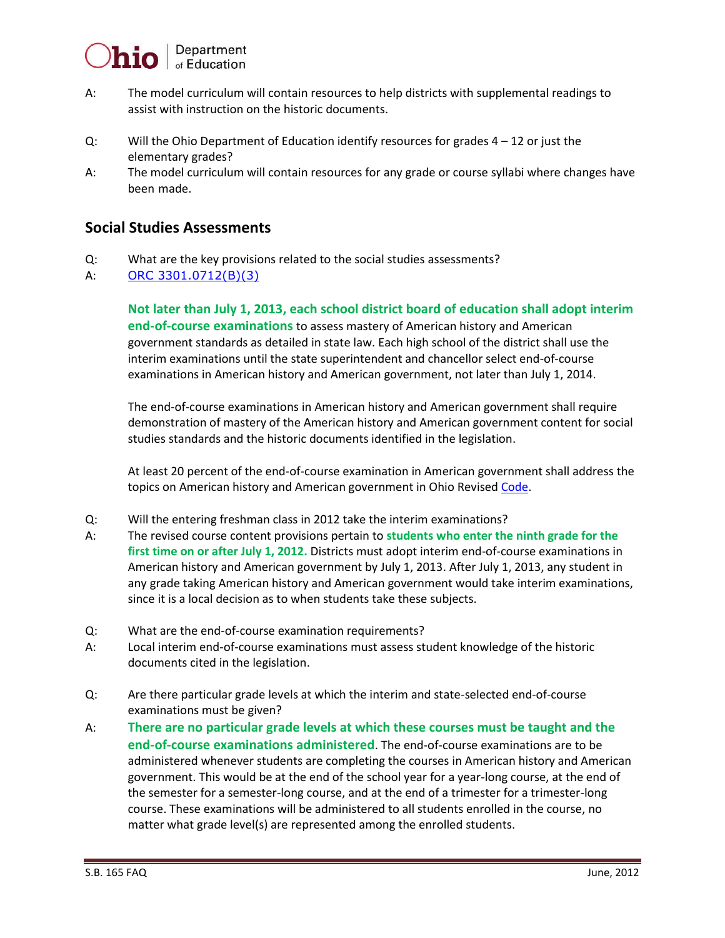

- A: The model curriculum will contain resources to help districts with supplemental readings to assist with instruction on the historic documents.
- Q: Will the Ohio Department of Education identify resources for grades 4 12 or just the elementary grades?
- A: The model curriculum will contain resources for any grade or course syllabi where changes have been made.

## **Social Studies Assessments**

- Q: What are the key provisions related to the social studies assessments?
- A: [ORC 3301.0712\(B\)\(3\)](http://codes.ohio.gov/orc/3301.0712)

**Not later than July 1, 2013, each school district board of education shall adopt interim end-of-course examinations** to assess mastery of American history and American government standards as detailed in state law. Each high school of the district shall use the interim examinations until the state superintendent and chancellor select end-of-course examinations in American history and American government, not later than July 1, 2014.

The end-of-course examinations in American history and American government shall require demonstration of mastery of the American history and American government content for social studies standards and the historic documents identified in the legislation.

At least 20 percent of the end-of-course examination in American government shall address the topics on American history and American government in Ohio Revised [Code.](http://codes.ohio.gov/orc/3313.603)

- Q: Will the entering freshman class in 2012 take the interim examinations?
- A: The revised course content provisions pertain to **students who enter the ninth grade for the first time on or after July 1, 2012.** Districts must adopt interim end-of-course examinations in American history and American government by July 1, 2013. After July 1, 2013, any student in any grade taking American history and American government would take interim examinations, since it is a local decision as to when students take these subjects.
- Q: What are the end-of-course examination requirements?
- A: Local interim end-of-course examinations must assess student knowledge of the historic documents cited in the legislation.
- Q: Are there particular grade levels at which the interim and state-selected end-of-course examinations must be given?
- A: **There are no particular grade levels at which these courses must be taught and the end-of-course examinations administered**. The end-of-course examinations are to be administered whenever students are completing the courses in American history and American government. This would be at the end of the school year for a year-long course, at the end of the semester for a semester-long course, and at the end of a trimester for a trimester-long course. These examinations will be administered to all students enrolled in the course, no matter what grade level(s) are represented among the enrolled students.